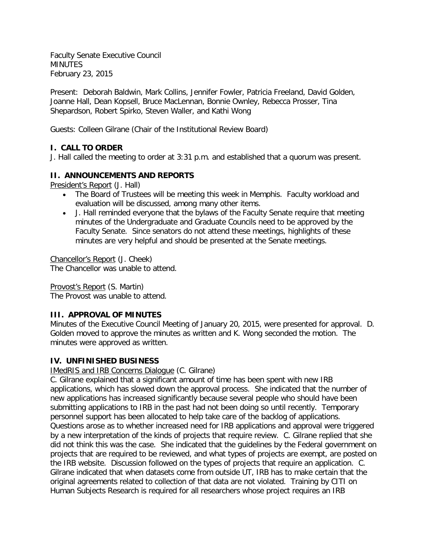Faculty Senate Executive Council MINUTES February 23, 2015

Present: Deborah Baldwin, Mark Collins, Jennifer Fowler, Patricia Freeland, David Golden, Joanne Hall, Dean Kopsell, Bruce MacLennan, Bonnie Ownley, Rebecca Prosser, Tina Shepardson, Robert Spirko, Steven Waller, and Kathi Wong

Guests: Colleen Gilrane (Chair of the Institutional Review Board)

# **I. CALL TO ORDER**

J. Hall called the meeting to order at 3:31 p.m. and established that a quorum was present.

### **II. ANNOUNCEMENTS AND REPORTS**

President's Report (J. Hall)

- The Board of Trustees will be meeting this week in Memphis. Faculty workload and evaluation will be discussed, among many other items.
- J. Hall reminded everyone that the bylaws of the Faculty Senate require that meeting minutes of the Undergraduate and Graduate Councils need to be approved by the Faculty Senate. Since senators do not attend these meetings, highlights of these minutes are very helpful and should be presented at the Senate meetings.

Chancellor's Report (J. Cheek) The Chancellor was unable to attend.

Provost's Report (S. Martin) The Provost was unable to attend.

# **III. APPROVAL OF MINUTES**

Minutes of the Executive Council Meeting of January 20, 2015, were presented for approval. D. Golden moved to approve the minutes as written and K. Wong seconded the motion. The minutes were approved as written.

# **IV. UNFINISHED BUSINESS**

IMedRIS and IRB Concerns Dialogue (C. Gilrane)

C. Gilrane explained that a significant amount of time has been spent with new IRB applications, which has slowed down the approval process. She indicated that the number of new applications has increased significantly because several people who should have been submitting applications to IRB in the past had not been doing so until recently. Temporary personnel support has been allocated to help take care of the backlog of applications. Questions arose as to whether increased need for IRB applications and approval were triggered by a new interpretation of the kinds of projects that require review. C. Gilrane replied that she did not think this was the case. She indicated that the guidelines by the Federal government on projects that are required to be reviewed, and what types of projects are exempt, are posted on the IRB website. Discussion followed on the types of projects that require an application. C. Gilrane indicated that when datasets come from outside UT, IRB has to make certain that the original agreements related to collection of that data are not violated. Training by CITI on Human Subjects Research is required for all researchers whose project requires an IRB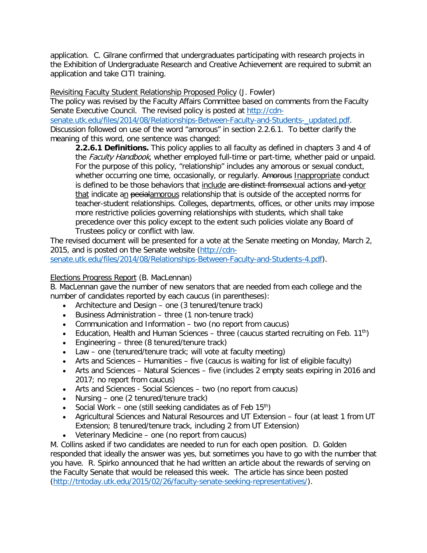application. C. Gilrane confirmed that undergraduates participating with research projects in the Exhibition of Undergraduate Research and Creative Achievement are required to submit an application and take CITI training.

Revisiting Faculty Student Relationship Proposed Policy (J. Fowler)

The policy was revised by the Faculty Affairs Committee based on comments from the Faculty Senate Executive Council. The revised policy is posted at [http://cdn-](http://cdn-senate.utk.edu/files/2014/08/Relationships-Between-Faculty-and-Students-_updated.pdf)

[senate.utk.edu/files/2014/08/Relationships-Between-Faculty-and-Students-\\_updated.pdf.](http://cdn-senate.utk.edu/files/2014/08/Relationships-Between-Faculty-and-Students-_updated.pdf) Discussion followed on use of the word "amorous" in section 2.2.6.1. To better clarify the meaning of this word, one sentence was changed:

**2.2.6.1 Definitions.** This policy applies to all faculty as defined in chapters 3 and 4 of the Faculty Handbook, whether employed full-time or part-time, whether paid or unpaid. For the purpose of this policy, "relationship" includes any amorous or sexual conduct, whether occurring one time, occasionally, or regularly. Amorous Inappropriate conduct is defined to be those behaviors that include are distinct fromsexual actions and vetor that indicate an pecialamorous relationship that is outside of the accepted norms for teacher-student relationships. Colleges, departments, offices, or other units may impose more restrictive policies governing relationships with students, which shall take precedence over this policy except to the extent such policies violate any Board of Trustees policy or conflict with law.

The revised document will be presented for a vote at the Senate meeting on Monday, March 2, 2015, and is posted on the Senate website [\(http://cdn-](http://cdn-senate.utk.edu/files/2014/08/Relationships-Between-Faculty-and-Students-4.pdf)

[senate.utk.edu/files/2014/08/Relationships-Between-Faculty-and-Students-4.pdf\)](http://cdn-senate.utk.edu/files/2014/08/Relationships-Between-Faculty-and-Students-4.pdf).

### Elections Progress Report (B. MacLennan)

B. MacLennan gave the number of new senators that are needed from each college and the number of candidates reported by each caucus (in parentheses):

- Architecture and Design one (3 tenured/tenure track)
- Business Administration three (1 non-tenure track)
- Communication and Information two (no report from caucus)
- Education, Health and Human Sciences three (caucus started recruiting on Feb. 11<sup>th</sup>)
- Engineering three (8 tenured/tenure track)
- Law one (tenured/tenure track; will vote at faculty meeting)
- Arts and Sciences Humanities five (caucus is waiting for list of eligible faculty)
- Arts and Sciences Natural Sciences five (includes 2 empty seats expiring in 2016 and 2017; no report from caucus)
- Arts and Sciences Social Sciences two (no report from caucus)
- Nursing one (2 tenured/tenure track)
- Social Work one (still seeking candidates as of Feb  $15<sup>th</sup>$ )
- Agricultural Sciences and Natural Resources and UT Extension four (at least 1 from UT Extension; 8 tenured/tenure track, including 2 from UT Extension)
- Veterinary Medicine one (no report from caucus)

M. Collins asked if two candidates are needed to run for each open position. D. Golden responded that ideally the answer was yes, but sometimes you have to go with the number that you have. R. Spirko announced that he had written an article about the rewards of serving on the Faculty Senate that would be released this week. The article has since been posted [\(http://tntoday.utk.edu/2015/02/26/faculty-senate-seeking-representatives/\)](http://tntoday.utk.edu/2015/02/26/faculty-senate-seeking-representatives/).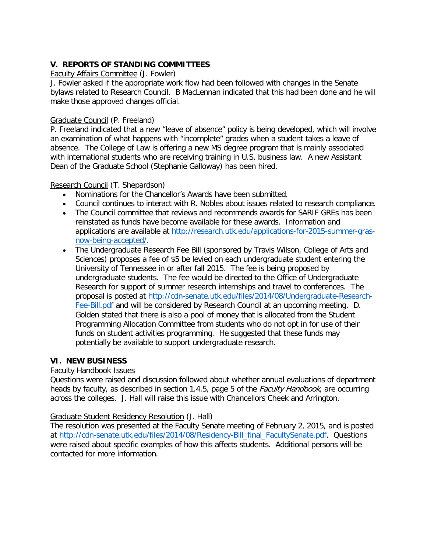# **V. REPORTS OF STANDING COMMITTEES**

### Faculty Affairs Committee (J. Fowler)

J. Fowler asked if the appropriate work flow had been followed with changes in the Senate bylaws related to Research Council. B MacLennan indicated that this had been done and he will make those approved changes official.

### Graduate Council (P. Freeland)

P. Freeland indicated that a new "leave of absence" policy is being developed, which will involve an examination of what happens with "incomplete" grades when a student takes a leave of absence. The College of Law is offering a new MS degree program that is mainly associated with international students who are receiving training in U.S. business law. A new Assistant Dean of the Graduate School (Stephanie Galloway) has been hired.

### Research Council (T. Shepardson)

- Nominations for the Chancellor's Awards have been submitted.
- Council continues to interact with R. Nobles about issues related to research compliance.
- The Council committee that reviews and recommends awards for SARIF GREs has been reinstated as funds have become available for these awards. Information and applications are available at [http://research.utk.edu/applications-for-2015-summer-gras](http://research.utk.edu/applications-for-2015-summer-gras-now-being-accepted/)[now-being-accepted/.](http://research.utk.edu/applications-for-2015-summer-gras-now-being-accepted/)
- The Undergraduate Research Fee Bill (sponsored by Travis Wilson, College of Arts and Sciences) proposes a fee of \$5 be levied on each undergraduate student entering the University of Tennessee in or after fall 2015. The fee is being proposed by undergraduate students. The fee would be directed to the Office of Undergraduate Research for support of summer research internships and travel to conferences. The proposal is posted at [http://cdn-senate.utk.edu/files/2014/08/Undergraduate-Research-](http://cdn-senate.utk.edu/files/2014/08/Undergraduate-Research-Fee-Bill.pdf)[Fee-Bill.pdf](http://cdn-senate.utk.edu/files/2014/08/Undergraduate-Research-Fee-Bill.pdf) and will be considered by Research Council at an upcoming meeting. D. Golden stated that there is also a pool of money that is allocated from the Student Programming Allocation Committee from students who do not opt in for use of their funds on student activities programming. He suggested that these funds may potentially be available to support undergraduate research.

# **VI. NEW BUSINESS**

# Faculty Handbook Issues

Questions were raised and discussion followed about whether annual evaluations of department heads by faculty, as described in section 1.4.5, page 5 of the *Faculty Handbook*, are occurring across the colleges. J. Hall will raise this issue with Chancellors Cheek and Arrington.

### Graduate Student Residency Resolution (J. Hall)

The resolution was presented at the Faculty Senate meeting of February 2, 2015, and is posted at [http://cdn-senate.utk.edu/files/2014/08/Residency-Bill\\_final\\_FacultySenate.pdf.](http://cdn-senate.utk.edu/files/2014/08/Residency-Bill_final_FacultySenate.pdf) Questions were raised about specific examples of how this affects students. Additional persons will be contacted for more information.